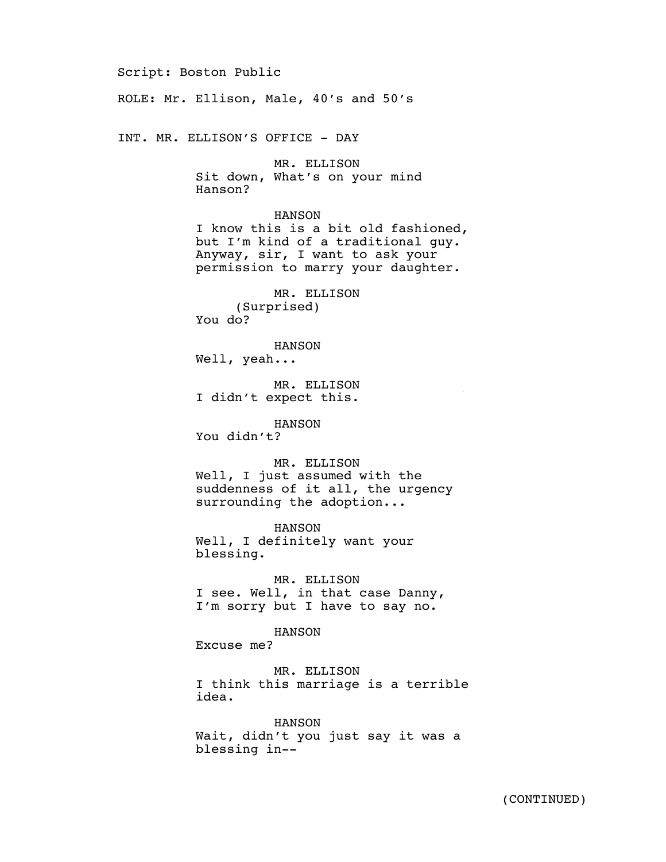Script: Boston Public

ROLE: Mr. Ellison, Male, 40's and 50's

INT. MR. ELLISON'S OFFICE - DAY

MR. ELLISON Sit down, What's on your mind Hanson?

HANSON I know this is a bit old fashioned, but I'm kind of a traditional guy. Anyway, sir, I want to ask your permission to marry your daughter.

MR. ELLISON (Surprised) You do?

HANSON Well, yeah...

MR. ELLISON I didn't expect this.

HANSON You didn't?

MR. ELLISON Well, I just assumed with the suddenness of it all, the urgency surrounding the adoption...

4/15/15

HANSON Well, I definitely want your blessing.

MR. ELLISON I see. Well, in that case Danny, I'm sorry but I have to say no.

HANSON

Excuse me?

MR. ELLISON I think this marriage is a terrible idea.

HANSON Wait, didn't you just say it was a blessing in--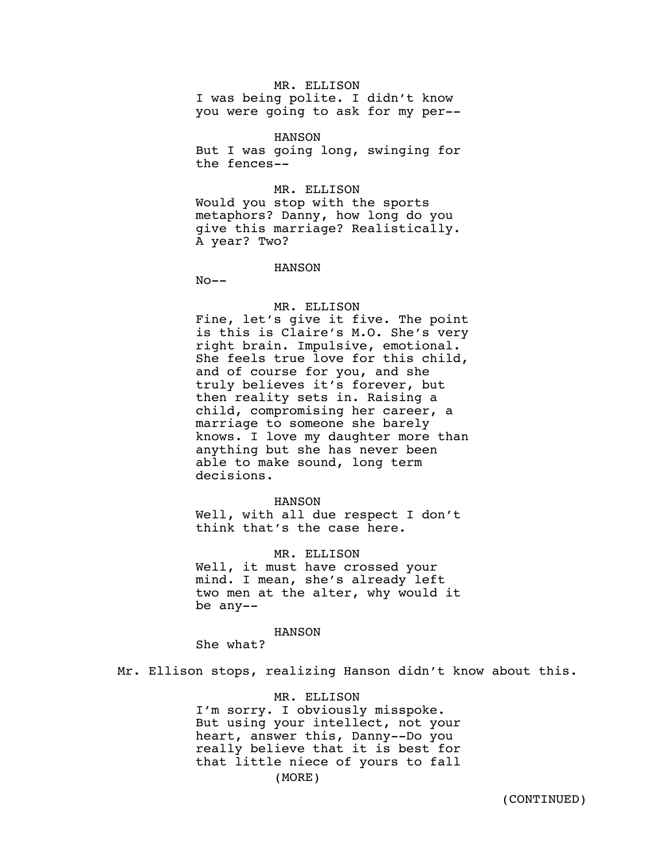# MR. ELLISON

I was being polite. I didn't know you were going to ask for my per--

HANSON

But I was going long, swinging for the fences--

## MR. ELLISON

Would you stop with the sports metaphors? Danny, how long do you give this marriage? Realistically. A year? Two?

HANSON

 $No--$ 

# MR. ELLISON

Fine, let's give it five. The point is this is Claire's M.O. She's very right brain. Impulsive, emotional. She feels true love for this child, and of course for you, and she truly believes it's forever, but then reality sets in. Raising a child, compromising her career, a marriage to someone she barely knows. I love my daughter more than anything but she has never been able to make sound, long term decisions.

### HANSON

Well, with all due respect I don't think that's the case here.

#### MR. ELLISON

Well, it must have crossed your mind. I mean, she's already left two men at the alter, why would it be any--

#### HANSON

She what?

Mr. Ellison stops, realizing Hanson didn't know about this.

### MR. ELLISON

I'm sorry. I obviously misspoke. But using your intellect, not your heart, answer this, Danny--Do you really believe that it is best for that little niece of yours to fall (MORE)

(CONTINUED)